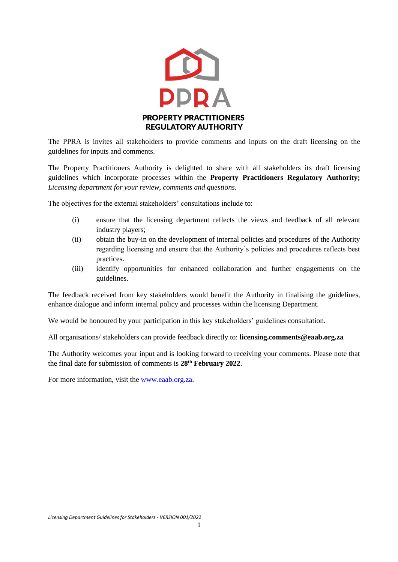

The PPRA is invites all stakeholders to provide comments and inputs on the draft licensing on the guidelines for inputs and comments.

The Property Practitioners Authority is delighted to share with all stakeholders its draft licensing guidelines which incorporate processes within the **Property Practitioners Regulatory Authority;** *Licensing department for your review, comments and questions.*

The objectives for the external stakeholders' consultations include to: –

- (i) ensure that the licensing department reflects the views and feedback of all relevant industry players;
- (ii) obtain the buy-in on the development of internal policies and procedures of the Authority regarding licensing and ensure that the Authority's policies and procedures reflects best practices.
- (iii) identify opportunities for enhanced collaboration and further engagements on the guidelines.

The feedback received from key stakeholders would benefit the Authority in finalising the guidelines, enhance dialogue and inform internal policy and processes within the licensing Department.

We would be honoured by your participation in this key stakeholders' guidelines consultation.

All organisations/ stakeholders can provide feedback directly to: **licensing.comments@eaab.org.za**

The Authority welcomes your input and is looking forward to receiving your comments. Please note that the final date for submission of comments is **28 th February 2022**.

For more information, visit th[e www.eaab.org.za.](http://www.eaab.org.za/)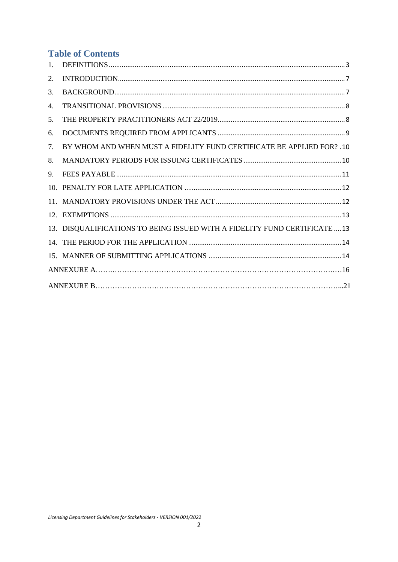# **Table of Contents**

| 1. |                                                                            |
|----|----------------------------------------------------------------------------|
| 2. |                                                                            |
| 3. |                                                                            |
| 4. |                                                                            |
| 5. |                                                                            |
| 6. |                                                                            |
| 7. | BY WHOM AND WHEN MUST A FIDELITY FUND CERTIFICATE BE APPLIED FOR? . 10     |
| 8. |                                                                            |
| 9. |                                                                            |
|    |                                                                            |
|    |                                                                            |
|    |                                                                            |
|    | 13. DISQUALIFICATIONS TO BEING ISSUED WITH A FIDELITY FUND CERTIFICATE  13 |
|    |                                                                            |
|    |                                                                            |
|    |                                                                            |
|    |                                                                            |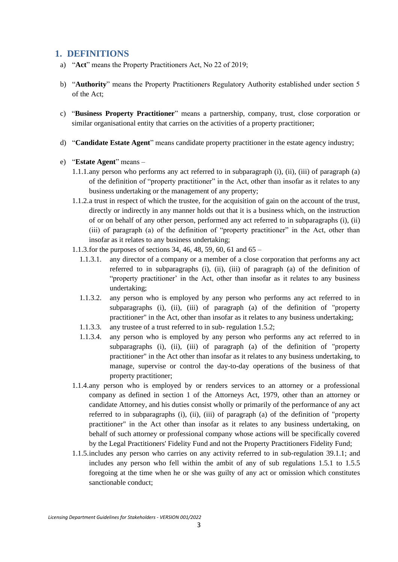### <span id="page-2-0"></span>**1. DEFINITIONS**

- a) "**Act**" means the Property Practitioners Act, No 22 of 2019;
- b) "**Authority**" means the Property Practitioners Regulatory Authority established under section 5 of the Act;
- c) "**Business Property Practitioner**" means a partnership, company, trust, close corporation or similar organisational entity that carries on the activities of a property practitioner;
- d) "**Candidate Estate Agent**" means candidate property practitioner in the estate agency industry;
- e) "**Estate Agent**" means
	- 1.1.1.any person who performs any act referred to in subparagraph (i), (ii), (iii) of paragraph (a) of the definition of "property practitioner" in the Act, other than insofar as it relates to any business undertaking or the management of any property;
	- 1.1.2.a trust in respect of which the trustee, for the acquisition of gain on the account of the trust, directly or indirectly in any manner holds out that it is a business which, on the instruction of or on behalf of any other person, performed any act referred to in subparagraphs (i), (ii) (iii) of paragraph (a) of the definition of "property practitioner" in the Act, other than insofar as it relates to any business undertaking;
	- 1.1.3.for the purposes of sections 34, 46, 48, 59, 60, 61 and 65
		- 1.1.3.1. any director of a company or a member of a close corporation that performs any act referred to in subparagraphs (i), (ii), (iii) of paragraph (a) of the definition of "property practitioner' in the Act, other than insofar as it relates to any business undertaking;
		- 1.1.3.2. any person who is employed by any person who performs any act referred to in subparagraphs (i), (ii), (iii) of paragraph (a) of the definition of "property practitioner" in the Act, other than insofar as it relates to any business undertaking;
		- 1.1.3.3. any trustee of a trust referred to in sub- regulation 1.5.2;
		- 1.1.3.4. any person who is employed by any person who performs any act referred to in subparagraphs (i), (ii), (iii) of paragraph (a) of the definition of "property practitioner" in the Act other than insofar as it relates to any business undertaking, to manage, supervise or control the day-to-day operations of the business of that property practitioner;
	- 1.1.4.any person who is employed by or renders services to an attorney or a professional company as defined in section 1 of the Attorneys Act, 1979, other than an attorney or candidate Attorney, and his duties consist wholly or primarily of the performance of any act referred to in subparagraphs (i), (ii), (iii) of paragraph (a) of the definition of "property practitioner" in the Act other than insofar as it relates to any business undertaking, on behalf of such attorney or professional company whose actions will be specifically covered by the Legal Practitioners' Fidelity Fund and not the Property Practitioners Fidelity Fund;
	- 1.1.5.includes any person who carries on any activity referred to in sub-regulation 39.1.1; and includes any person who fell within the ambit of any of sub regulations 1.5.1 to 1.5.5 foregoing at the time when he or she was guilty of any act or omission which constitutes sanctionable conduct;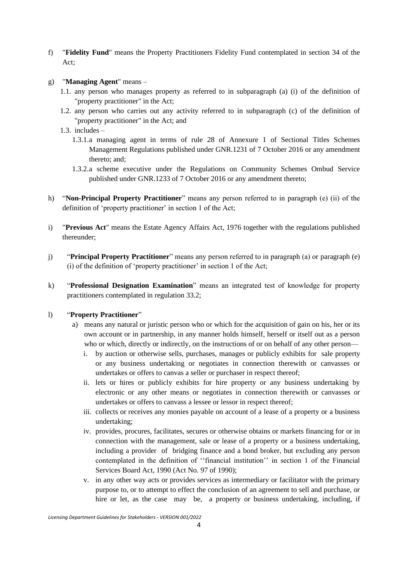- f) "**Fidelity Fund**" means the Property Practitioners Fidelity Fund contemplated in section 34 of the Act;
- g) "**Managing Agent**" means
	- 1.1. any person who manages property as referred to in subparagraph (a) (i) of the definition of "property practitioner" in the Act;
	- 1.2. any person who carries out any activity referred to in subparagraph (c) of the definition of "property practitioner" in the Act; and
	- 1.3. includes
		- 1.3.1.a managing agent in terms of rule 28 of Annexure 1 of Sectional Titles Schemes Management Regulations published under GNR.1231 of 7 October 2016 or any amendment thereto; and;
		- 1.3.2.a scheme executive under the Regulations on Community Schemes Ombud Service published under GNR.1233 of 7 October 2016 or any amendment thereto;
- h) "**Non-Principal Property Practitioner**" means any person referred to in paragraph (e) (ii) of the definition of 'property practitioner' in section 1 of the Act;
- i) "**Previous Act**" means the Estate Agency Affairs Act, 1976 together with the regulations published thereunder;
- j) "**Principal Property Practitioner**" means any person referred to in paragraph (a) or paragraph (e) (i) of the definition of 'property practitioner' in section 1 of the Act;
- k) "**Professional Designation Examination**" means an integrated test of knowledge for property practitioners contemplated in regulation 33.2;

#### l) "**Property Practitioner**"

- a) means any natural or juristic person who or which for the acquisition of gain on his, her or its own account or in partnership, in any manner holds himself, herself or itself out as a person who or which, directly or indirectly, on the instructions of or on behalf of any other person
	- i. by auction or otherwise sells, purchases, manages or publicly exhibits for sale property or any business undertaking or negotiates in connection therewith or canvasses or undertakes or offers to canvas a seller or purchaser in respect thereof;
	- ii. lets or hires or publicly exhibits for hire property or any business undertaking by electronic or any other means or negotiates in connection therewith or canvasses or undertakes or offers to canvass a lessee or lessor in respect thereof;
	- iii. collects or receives any monies payable on account of a lease of a property or a business undertaking;
	- iv. provides, procures, facilitates, secures or otherwise obtains or markets financing for or in connection with the management, sale or lease of a property or a business undertaking, including a provider of bridging finance and a bond broker, but excluding any person contemplated in the definition of ''financial institution'' in section 1 of the Financial Services Board Act, 1990 (Act No. 97 of 1990);
	- v. in any other way acts or provides services as intermediary or facilitator with the primary purpose to, or to attempt to effect the conclusion of an agreement to sell and purchase, or hire or let, as the case may be, a property or business undertaking, including, if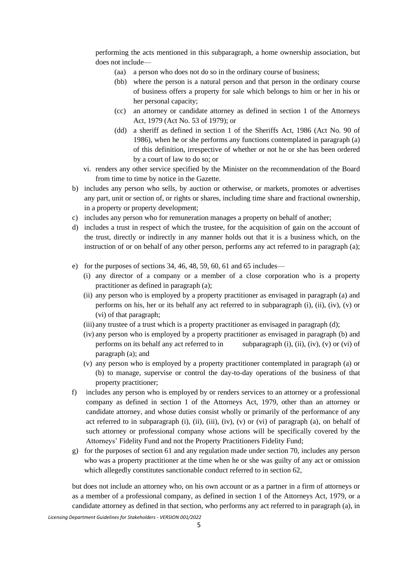performing the acts mentioned in this subparagraph, a home ownership association, but does not include—

- (aa) a person who does not do so in the ordinary course of business;
- (bb) where the person is a natural person and that person in the ordinary course of business offers a property for sale which belongs to him or her in his or her personal capacity;
- (cc) an attorney or candidate attorney as defined in section 1 of the Attorneys Act, 1979 (Act No. 53 of 1979); or
- (dd) a sheriff as defined in section 1 of the Sheriffs Act, 1986 (Act No. 90 of 1986), when he or she performs any functions contemplated in paragraph (a) of this definition, irrespective of whether or not he or she has been ordered by a court of law to do so; or
- vi. renders any other service specified by the Minister on the recommendation of the Board from time to time by notice in the Gazette.
- b) includes any person who sells, by auction or otherwise, or markets, promotes or advertises any part, unit or section of, or rights or shares, including time share and fractional ownership, in a property or property development;
- c) includes any person who for remuneration manages a property on behalf of another;
- d) includes a trust in respect of which the trustee, for the acquisition of gain on the account of the trust, directly or indirectly in any manner holds out that it is a business which, on the instruction of or on behalf of any other person, performs any act referred to in paragraph (a);
- e) for the purposes of sections 34, 46, 48, 59, 60, 61 and 65 includes—
	- (i) any director of a company or a member of a close corporation who is a property practitioner as defined in paragraph (a);
	- (ii) any person who is employed by a property practitioner as envisaged in paragraph (a) and performs on his, her or its behalf any act referred to in subparagraph (i), (ii), (iv), (v) or (vi) of that paragraph;
	- (iii) any trustee of a trust which is a property practitioner as envisaged in paragraph (d);
	- (iv) any person who is employed by a property practitioner as envisaged in paragraph (b) and performs on its behalf any act referred to in subparagraph (i), (ii), (iv), (v) or (vi) of paragraph (a); and
	- (v) any person who is employed by a property practitioner contemplated in paragraph (a) or (b) to manage, supervise or control the day-to-day operations of the business of that property practitioner;
- f) includes any person who is employed by or renders services to an attorney or a professional company as defined in section 1 of the Attorneys Act, 1979, other than an attorney or candidate attorney, and whose duties consist wholly or primarily of the performance of any act referred to in subparagraph (i), (ii), (iii), (iv), (v) or (vi) of paragraph (a), on behalf of such attorney or professional company whose actions will be specifically covered by the Attorneys' Fidelity Fund and not the Property Practitioners Fidelity Fund;
- g) for the purposes of section 61 and any regulation made under section 70, includes any person who was a property practitioner at the time when he or she was guilty of any act or omission which allegedly constitutes sanctionable conduct referred to in section 62,

but does not include an attorney who, on his own account or as a partner in a firm of attorneys or as a member of a professional company, as defined in section 1 of the Attorneys Act, 1979, or a candidate attorney as defined in that section, who performs any act referred to in paragraph (a), in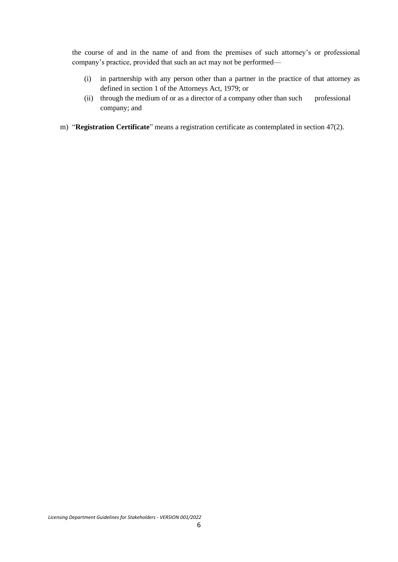the course of and in the name of and from the premises of such attorney's or professional company's practice, provided that such an act may not be performed—

- (i) in partnership with any person other than a partner in the practice of that attorney as defined in section 1 of the Attorneys Act, 1979; or
- (ii) through the medium of or as a director of a company other than such professional company; and
- m) "**Registration Certificate**" means a registration certificate as contemplated in section 47(2).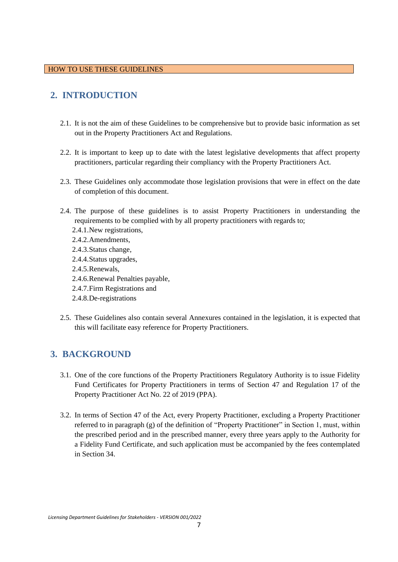# <span id="page-6-0"></span>**2. INTRODUCTION**

- 2.1. It is not the aim of these Guidelines to be comprehensive but to provide basic information as set out in the Property Practitioners Act and Regulations.
- 2.2. It is important to keep up to date with the latest legislative developments that affect property practitioners, particular regarding their compliancy with the Property Practitioners Act.
- 2.3. These Guidelines only accommodate those legislation provisions that were in effect on the date of completion of this document.
- 2.4. The purpose of these guidelines is to assist Property Practitioners in understanding the requirements to be complied with by all property practitioners with regards to;
	- 2.4.1.New registrations,
	- 2.4.2.Amendments,
	- 2.4.3.Status change,
	- 2.4.4.Status upgrades,
	- 2.4.5.Renewals,
	- 2.4.6.Renewal Penalties payable,
	- 2.4.7.Firm Registrations and
	- 2.4.8.De-registrations
- 2.5. These Guidelines also contain several Annexures contained in the legislation, it is expected that this will facilitate easy reference for Property Practitioners.

## <span id="page-6-1"></span>**3. BACKGROUND**

- 3.1. One of the core functions of the Property Practitioners Regulatory Authority is to issue Fidelity Fund Certificates for Property Practitioners in terms of Section 47 and Regulation 17 of the Property Practitioner Act No. 22 of 2019 (PPA).
- 3.2. In terms of Section 47 of the Act, every Property Practitioner, excluding a Property Practitioner referred to in paragraph (g) of the definition of "Property Practitioner" in Section 1, must, within the prescribed period and in the prescribed manner, every three years apply to the Authority for a Fidelity Fund Certificate, and such application must be accompanied by the fees contemplated in Section 34.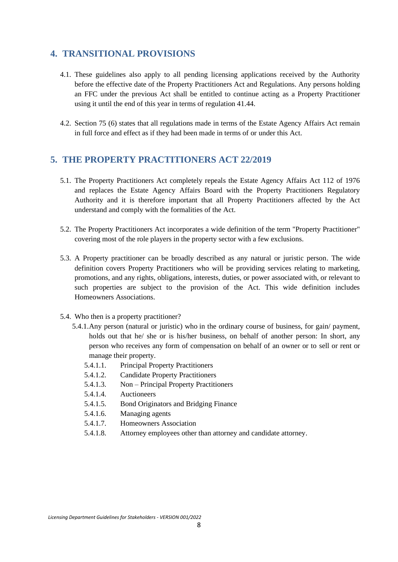## <span id="page-7-0"></span>**4. TRANSITIONAL PROVISIONS**

- 4.1. These guidelines also apply to all pending licensing applications received by the Authority before the effective date of the Property Practitioners Act and Regulations. Any persons holding an FFC under the previous Act shall be entitled to continue acting as a Property Practitioner using it until the end of this year in terms of regulation 41.44.
- 4.2. Section 75 (6) states that all regulations made in terms of the Estate Agency Affairs Act remain in full force and effect as if they had been made in terms of or under this Act.

## <span id="page-7-1"></span>**5. THE PROPERTY PRACTITIONERS ACT 22/2019**

- 5.1. The Property Practitioners Act completely repeals the Estate Agency Affairs Act 112 of 1976 and replaces the Estate Agency Affairs Board with the Property Practitioners Regulatory Authority and it is therefore important that all Property Practitioners affected by the Act understand and comply with the formalities of the Act.
- 5.2. The Property Practitioners Act incorporates a wide definition of the term "Property Practitioner" covering most of the role players in the property sector with a few exclusions.
- 5.3. A Property practitioner can be broadly described as any natural or juristic person. The wide definition covers Property Practitioners who will be providing services relating to marketing, promotions, and any rights, obligations, interests, duties, or power associated with, or relevant to such properties are subject to the provision of the Act. This wide definition includes Homeowners Associations.
- 5.4. Who then is a property practitioner?
	- 5.4.1.Any person (natural or juristic) who in the ordinary course of business, for gain/ payment, holds out that he/ she or is his/her business, on behalf of another person: In short, any person who receives any form of compensation on behalf of an owner or to sell or rent or manage their property.
		- 5.4.1.1. Principal Property Practitioners
		- 5.4.1.2. Candidate Property Practitioners
		- 5.4.1.3. Non Principal Property Practitioners
		- 5.4.1.4. Auctioneers
		- 5.4.1.5. Bond Originators and Bridging Finance
		- 5.4.1.6. Managing agents
		- 5.4.1.7. Homeowners Association
		- 5.4.1.8. Attorney employees other than attorney and candidate attorney.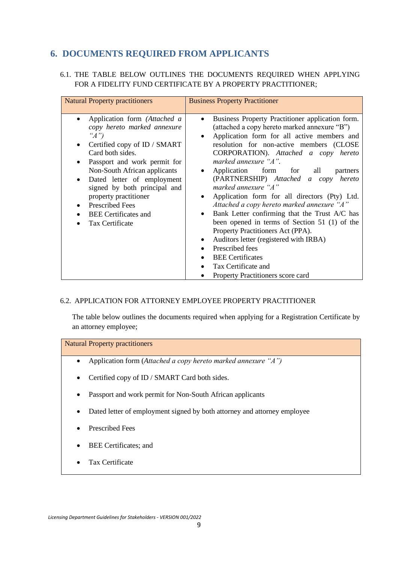# <span id="page-8-0"></span>**6. DOCUMENTS REQUIRED FROM APPLICANTS**

### 6.1. THE TABLE BELOW OUTLINES THE DOCUMENTS REQUIRED WHEN APPLYING FOR A FIDELITY FUND CERTIFICATE BY A PROPERTY PRACTITIONER;

| <b>Natural Property practitioners</b>                                                                                                                                                                                                                                                                                                                                 | <b>Business Property Practitioner</b>                                                                                                                                                                                                                                                                                                                                                                                                                                                                                                                                                                                                                                                                                                                                                  |
|-----------------------------------------------------------------------------------------------------------------------------------------------------------------------------------------------------------------------------------------------------------------------------------------------------------------------------------------------------------------------|----------------------------------------------------------------------------------------------------------------------------------------------------------------------------------------------------------------------------------------------------------------------------------------------------------------------------------------------------------------------------------------------------------------------------------------------------------------------------------------------------------------------------------------------------------------------------------------------------------------------------------------------------------------------------------------------------------------------------------------------------------------------------------------|
| Application form (Attached a<br>copy hereto marked annexure<br>" $A$ ")<br>Certified copy of ID / SMART<br>Card both sides.<br>Passport and work permit for<br>Non-South African applicants<br>Dated letter of employment<br>signed by both principal and<br>property practitioner<br><b>Prescribed Fees</b><br><b>BEE</b> Certificates and<br><b>Tax Certificate</b> | Business Property Practitioner application form.<br>(attached a copy hereto marked annexure "B")<br>Application form for all active members and<br>$\bullet$<br>resolution for non-active members (CLOSE<br>CORPORATION). Attached a copy hereto<br>marked annexure "A".<br>Application form for all<br>partners<br>(PARTNERSHIP) Attached a copy hereto<br>marked annexure "A"<br>Application form for all directors (Pty) Ltd.<br>Attached a copy hereto marked annexure "A"<br>Bank Letter confirming that the Trust A/C has<br>been opened in terms of Section 51 (1) of the<br>Property Practitioners Act (PPA).<br>Auditors letter (registered with IRBA)<br>$\bullet$<br>Prescribed fees<br><b>BEE</b> Certificates<br>Tax Certificate and<br>Property Practitioners score card |

### 6.2. APPLICATION FOR ATTORNEY EMPLOYEE PROPERTY PRACTITIONER

The table below outlines the documents required when applying for a Registration Certificate by an attorney employee;

Natural Property practitioners • Application form (*Attached a copy hereto marked annexure "A")* • Certified copy of ID / SMART Card both sides. • Passport and work permit for Non-South African applicants • Dated letter of employment signed by both attorney and attorney employee • Prescribed Fees BEE Certificates; and • Tax Certificate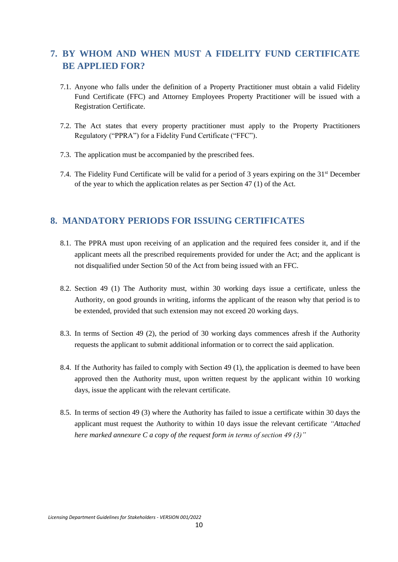# <span id="page-9-0"></span>**7. BY WHOM AND WHEN MUST A FIDELITY FUND CERTIFICATE BE APPLIED FOR?**

- 7.1. Anyone who falls under the definition of a Property Practitioner must obtain a valid Fidelity Fund Certificate (FFC) and Attorney Employees Property Practitioner will be issued with a Registration Certificate.
- 7.2. The Act states that every property practitioner must apply to the Property Practitioners Regulatory ("PPRA") for a Fidelity Fund Certificate ("FFC").
- 7.3. The application must be accompanied by the prescribed fees.
- 7.4. The Fidelity Fund Certificate will be valid for a period of 3 years expiring on the 31st December of the year to which the application relates as per Section 47 (1) of the Act.

## <span id="page-9-1"></span>**8. MANDATORY PERIODS FOR ISSUING CERTIFICATES**

- 8.1. The PPRA must upon receiving of an application and the required fees consider it, and if the applicant meets all the prescribed requirements provided for under the Act; and the applicant is not disqualified under Section 50 of the Act from being issued with an FFC.
- 8.2. Section 49 (1) The Authority must, within 30 working days issue a certificate, unless the Authority, on good grounds in writing, informs the applicant of the reason why that period is to be extended, provided that such extension may not exceed 20 working days.
- 8.3. In terms of Section 49 (2), the period of 30 working days commences afresh if the Authority requests the applicant to submit additional information or to correct the said application.
- 8.4. If the Authority has failed to comply with Section 49 (1), the application is deemed to have been approved then the Authority must, upon written request by the applicant within 10 working days, issue the applicant with the relevant certificate.
- 8.5. In terms of section 49 (3) where the Authority has failed to issue a certificate within 30 days the applicant must request the Authority to within 10 days issue the relevant certificate *"Attached here marked annexure C a copy of the request form in terms of section 49 (3)"*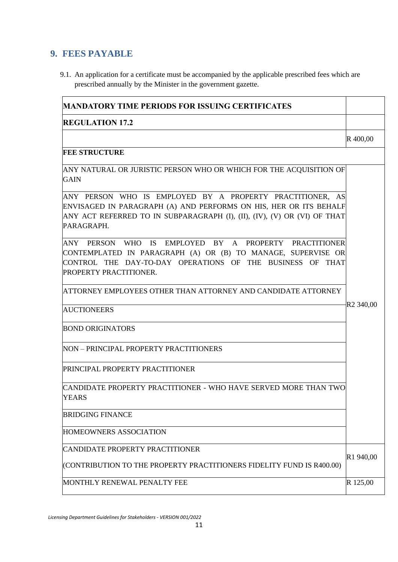# <span id="page-10-0"></span>**9. FEES PAYABLE**

9.1. An application for a certificate must be accompanied by the applicable prescribed fees which are prescribed annually by the Minister in the government gazette.

| <b>MANDATORY TIME PERIODS FOR ISSUING CERTIFICATES</b>                                                                                                                                                                   |                       |  |  |  |  |
|--------------------------------------------------------------------------------------------------------------------------------------------------------------------------------------------------------------------------|-----------------------|--|--|--|--|
| <b>REGULATION 17.2</b>                                                                                                                                                                                                   |                       |  |  |  |  |
|                                                                                                                                                                                                                          | R 400,00              |  |  |  |  |
| <b>FEE STRUCTURE</b>                                                                                                                                                                                                     |                       |  |  |  |  |
| ANY NATURAL OR JURISTIC PERSON WHO OR WHICH FOR THE ACQUISITION OF<br><b>GAIN</b>                                                                                                                                        |                       |  |  |  |  |
| ANY PERSON WHO IS EMPLOYED BY A PROPERTY PRACTITIONER, AS<br>ENVISAGED IN PARAGRAPH (A) AND PERFORMS ON HIS, HER OR ITS BEHALF<br>ANY ACT REFERRED TO IN SUBPARAGRAPH (I), (II), (IV), (V) OR (VI) OF THAT<br>PARAGRAPH. |                       |  |  |  |  |
| ANY PERSON WHO IS EMPLOYED BY A PROPERTY PRACTITIONER<br>CONTEMPLATED IN PARAGRAPH (A) OR (B) TO MANAGE, SUPERVISE OR<br>CONTROL THE DAY-TO-DAY OPERATIONS OF THE BUSINESS OF THAT<br>PROPERTY PRACTITIONER.             |                       |  |  |  |  |
| ATTORNEY EMPLOYEES OTHER THAN ATTORNEY AND CANDIDATE ATTORNEY                                                                                                                                                            |                       |  |  |  |  |
| <b>AUCTIONEERS</b>                                                                                                                                                                                                       | R <sub>2</sub> 340,00 |  |  |  |  |
| <b>BOND ORIGINATORS</b>                                                                                                                                                                                                  |                       |  |  |  |  |
| NON - PRINCIPAL PROPERTY PRACTITIONERS                                                                                                                                                                                   |                       |  |  |  |  |
| PRINCIPAL PROPERTY PRACTITIONER                                                                                                                                                                                          |                       |  |  |  |  |
| CANDIDATE PROPERTY PRACTITIONER - WHO HAVE SERVED MORE THAN TWO<br><b>YEARS</b>                                                                                                                                          |                       |  |  |  |  |
| <b>BRIDGING FINANCE</b>                                                                                                                                                                                                  |                       |  |  |  |  |
| HOMEOWNERS ASSOCIATION                                                                                                                                                                                                   |                       |  |  |  |  |
| CANDIDATE PROPERTY PRACTITIONER                                                                                                                                                                                          | R1 940,00             |  |  |  |  |
| (CONTRIBUTION TO THE PROPERTY PRACTITIONERS FIDELITY FUND IS R400.00)                                                                                                                                                    |                       |  |  |  |  |
| MONTHLY RENEWAL PENALTY FEE                                                                                                                                                                                              | R 125,00              |  |  |  |  |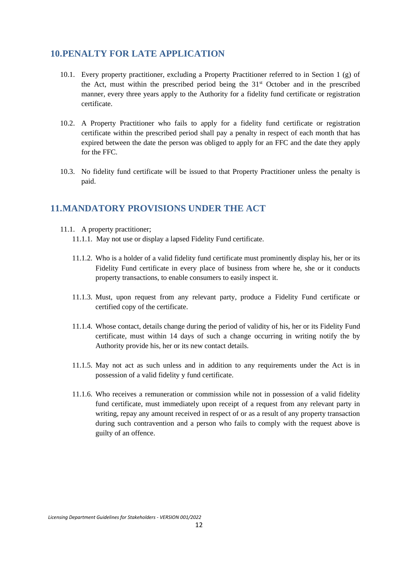## <span id="page-11-0"></span>**10.PENALTY FOR LATE APPLICATION**

- 10.1. Every property practitioner, excluding a Property Practitioner referred to in Section 1 (g) of the Act, must within the prescribed period being the  $31<sup>st</sup>$  October and in the prescribed manner, every three years apply to the Authority for a fidelity fund certificate or registration certificate.
- 10.2. A Property Practitioner who fails to apply for a fidelity fund certificate or registration certificate within the prescribed period shall pay a penalty in respect of each month that has expired between the date the person was obliged to apply for an FFC and the date they apply for the FFC.
- 10.3. No fidelity fund certificate will be issued to that Property Practitioner unless the penalty is paid.

## <span id="page-11-1"></span>**11.MANDATORY PROVISIONS UNDER THE ACT**

- 11.1. A property practitioner;
	- 11.1.1. May not use or display a lapsed Fidelity Fund certificate.
	- 11.1.2. Who is a holder of a valid fidelity fund certificate must prominently display his, her or its Fidelity Fund certificate in every place of business from where he, she or it conducts property transactions, to enable consumers to easily inspect it.
	- 11.1.3. Must, upon request from any relevant party, produce a Fidelity Fund certificate or certified copy of the certificate.
	- 11.1.4. Whose contact, details change during the period of validity of his, her or its Fidelity Fund certificate, must within 14 days of such a change occurring in writing notify the by Authority provide his, her or its new contact details.
	- 11.1.5. May not act as such unless and in addition to any requirements under the Act is in possession of a valid fidelity y fund certificate.
	- 11.1.6. Who receives a remuneration or commission while not in possession of a valid fidelity fund certificate, must immediately upon receipt of a request from any relevant party in writing, repay any amount received in respect of or as a result of any property transaction during such contravention and a person who fails to comply with the request above is guilty of an offence.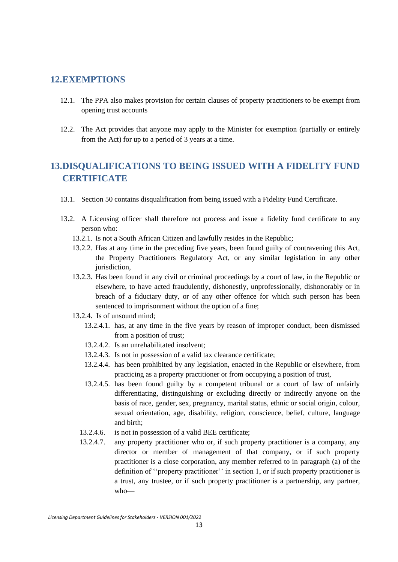### <span id="page-12-0"></span>**12.EXEMPTIONS**

- 12.1. The PPA also makes provision for certain clauses of property practitioners to be exempt from opening trust accounts
- 12.2. The Act provides that anyone may apply to the Minister for exemption (partially or entirely from the Act) for up to a period of 3 years at a time.

# <span id="page-12-1"></span>**13.DISQUALIFICATIONS TO BEING ISSUED WITH A FIDELITY FUND CERTIFICATE**

- 13.1. Section 50 contains disqualification from being issued with a Fidelity Fund Certificate.
- 13.2. A Licensing officer shall therefore not process and issue a fidelity fund certificate to any person who:
	- 13.2.1. Is not a South African Citizen and lawfully resides in the Republic;
	- 13.2.2. Has at any time in the preceding five years, been found guilty of contravening this Act, the Property Practitioners Regulatory Act, or any similar legislation in any other jurisdiction.
	- 13.2.3. Has been found in any civil or criminal proceedings by a court of law, in the Republic or elsewhere, to have acted fraudulently, dishonestly, unprofessionally, dishonorably or in breach of a fiduciary duty, or of any other offence for which such person has been sentenced to imprisonment without the option of a fine;
	- 13.2.4. Is of unsound mind;
		- 13.2.4.1. has, at any time in the five years by reason of improper conduct, been dismissed from a position of trust;
		- 13.2.4.2. Is an unrehabilitated insolvent;
		- 13.2.4.3. Is not in possession of a valid tax clearance certificate;
		- 13.2.4.4. has been prohibited by any legislation, enacted in the Republic or elsewhere, from practicing as a property practitioner or from occupying a position of trust,
		- 13.2.4.5. has been found guilty by a competent tribunal or a court of law of unfairly differentiating, distinguishing or excluding directly or indirectly anyone on the basis of race, gender, sex, pregnancy, marital status, ethnic or social origin, colour, sexual orientation, age, disability, religion, conscience, belief, culture, language and birth;
		- 13.2.4.6. is not in possession of a valid BEE certificate;
		- 13.2.4.7. any property practitioner who or, if such property practitioner is a company, any director or member of management of that company, or if such property practitioner is a close corporation, any member referred to in paragraph (a) of the definition of ''property practitioner'' in section 1, or if such property practitioner is a trust, any trustee, or if such property practitioner is a partnership, any partner, who—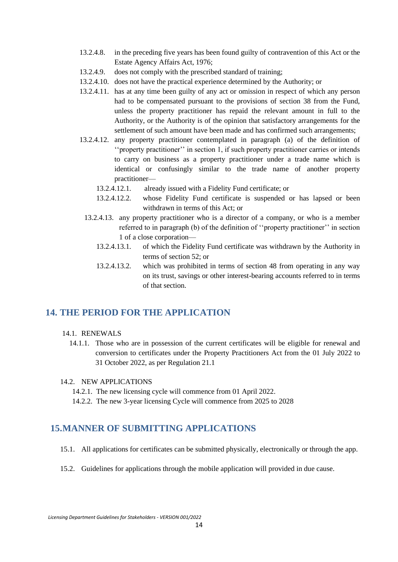- 13.2.4.8. in the preceding five years has been found guilty of contravention of this Act or the Estate Agency Affairs Act, 1976;
- 13.2.4.9. does not comply with the prescribed standard of training;
- 13.2.4.10. does not have the practical experience determined by the Authority; or
- 13.2.4.11. has at any time been guilty of any act or omission in respect of which any person had to be compensated pursuant to the provisions of section 38 from the Fund, unless the property practitioner has repaid the relevant amount in full to the Authority, or the Authority is of the opinion that satisfactory arrangements for the settlement of such amount have been made and has confirmed such arrangements;
- 13.2.4.12. any property practitioner contemplated in paragraph (a) of the definition of ''property practitioner'' in section 1, if such property practitioner carries or intends to carry on business as a property practitioner under a trade name which is identical or confusingly similar to the trade name of another property practitioner—
	- 13.2.4.12.1. already issued with a Fidelity Fund certificate; or
	- 13.2.4.12.2. whose Fidelity Fund certificate is suspended or has lapsed or been withdrawn in terms of this Act; or
	- 13.2.4.13. any property practitioner who is a director of a company, or who is a member referred to in paragraph (b) of the definition of ''property practitioner'' in section 1 of a close corporation—
		- 13.2.4.13.1. of which the Fidelity Fund certificate was withdrawn by the Authority in terms of section 52; or
		- 13.2.4.13.2. which was prohibited in terms of section 48 from operating in any way on its trust, savings or other interest-bearing accounts referred to in terms of that section.

## <span id="page-13-0"></span>**14. THE PERIOD FOR THE APPLICATION**

#### 14.1. RENEWALS

14.1.1. Those who are in possession of the current certificates will be eligible for renewal and conversion to certificates under the Property Practitioners Act from the 01 July 2022 to 31 October 2022, as per Regulation 21.1

#### 14.2. NEW APPLICATIONS

- 14.2.1. The new licensing cycle will commence from 01 April 2022.
- 14.2.2. The new 3-year licensing Cycle will commence from 2025 to 2028

## <span id="page-13-1"></span>**15.MANNER OF SUBMITTING APPLICATIONS**

- 15.1. All applications for certificates can be submitted physically, electronically or through the app.
- 15.2. Guidelines for applications through the mobile application will provided in due cause.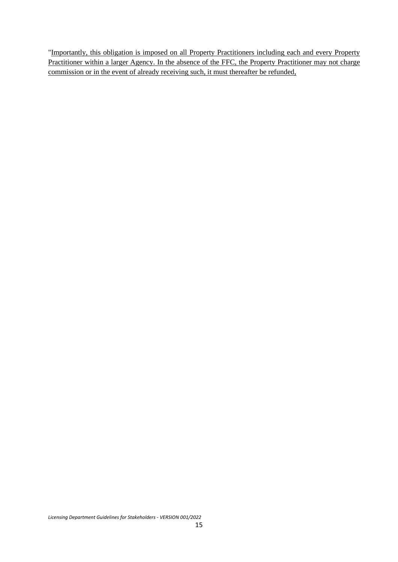"Importantly, this obligation is imposed on all Property Practitioners including each and every Property Practitioner within a larger Agency. In the absence of the FFC, the Property Practitioner may not charge commission or in the event of already receiving such, it must thereafter be refunded,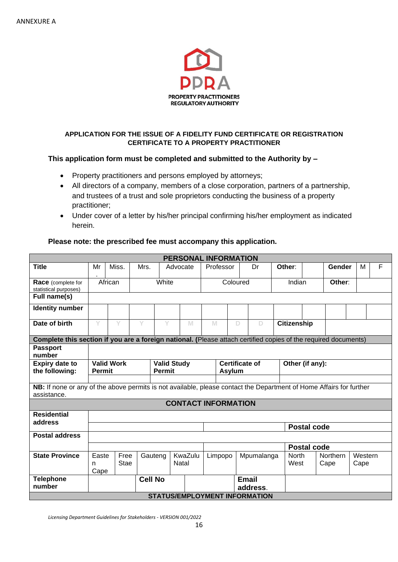

### **APPLICATION FOR THE ISSUE OF A FIDELITY FUND CERTIFICATE OR REGISTRATION CERTIFICATE TO A PROPERTY PRACTITIONER**

### **This application form must be completed and submitted to the Authority by –**

- Property practitioners and persons employed by attorneys;
- All directors of a company, members of a close corporation, partners of a partnership, and trustees of a trust and sole proprietors conducting the business of a property practitioner;
- Under cover of a letter by his/her principal confirming his/her employment as indicated herein.

### **Please note: the prescribed fee must accompany this application.**

|                                                                                                                                    | <b>PERSONAL INFORMATION</b>                         |                     |                |          |                    |                            |                                        |              |            |                      |                    |                         |                 |   |
|------------------------------------------------------------------------------------------------------------------------------------|-----------------------------------------------------|---------------------|----------------|----------|--------------------|----------------------------|----------------------------------------|--------------|------------|----------------------|--------------------|-------------------------|-----------------|---|
| <b>Title</b>                                                                                                                       | Mr                                                  | Miss.               | Mrs.           | Advocate |                    | Professor                  |                                        |              | Dr         | Other:               |                    | Gender                  | м               | F |
| <b>Race</b> (complete for<br>statistical purposes)                                                                                 | African                                             |                     | White          |          |                    | Coloured                   |                                        | Indian       |            | Other:               |                    |                         |                 |   |
| Full name(s)                                                                                                                       |                                                     |                     |                |          |                    |                            |                                        |              |            |                      |                    |                         |                 |   |
| <b>Identity number</b>                                                                                                             |                                                     |                     |                |          |                    |                            |                                        |              |            |                      |                    |                         |                 |   |
| Date of birth                                                                                                                      | Y                                                   | Y                   | V              | Y        | M                  | M                          |                                        | D            | D          | <b>Citizenship</b>   |                    |                         |                 |   |
| Complete this section if you are a foreign national. (Please attach certified copies of the required documents)                    |                                                     |                     |                |          |                    |                            |                                        |              |            |                      |                    |                         |                 |   |
| <b>Passport</b><br>number                                                                                                          |                                                     |                     |                |          |                    |                            |                                        |              |            |                      |                    |                         |                 |   |
| <b>Expiry date to</b><br>the following:                                                                                            | <b>Valid Work</b><br><b>Permit</b><br><b>Permit</b> |                     |                |          | <b>Valid Study</b> |                            | <b>Certificate of</b><br><b>Asylum</b> |              |            | Other (if any):      |                    |                         |                 |   |
| NB: If none or any of the above permits is not available, please contact the Department of Home Affairs for further<br>assistance. |                                                     |                     |                |          |                    | <b>CONTACT INFORMATION</b> |                                        |              |            |                      |                    |                         |                 |   |
| <b>Residential</b>                                                                                                                 |                                                     |                     |                |          |                    |                            |                                        |              |            |                      |                    |                         |                 |   |
| address                                                                                                                            |                                                     |                     |                |          |                    |                            |                                        |              |            |                      | <b>Postal code</b> |                         |                 |   |
| <b>Postal address</b>                                                                                                              |                                                     |                     |                |          |                    |                            |                                        |              |            |                      |                    |                         |                 |   |
|                                                                                                                                    |                                                     |                     |                |          |                    |                            |                                        |              |            |                      | <b>Postal code</b> |                         |                 |   |
| <b>State Province</b>                                                                                                              | Easte<br>n<br>Cape                                  | Free<br><b>Stae</b> | Gauteng        | Natal    | KwaZulu            | Limpopo                    |                                        |              | Mpumalanga | <b>North</b><br>West |                    | <b>Northern</b><br>Cape | Western<br>Cape |   |
| <b>Telephone</b>                                                                                                                   |                                                     |                     | <b>Cell No</b> |          |                    |                            |                                        | <b>Email</b> |            |                      |                    |                         |                 |   |
| number                                                                                                                             |                                                     |                     |                |          |                    |                            |                                        |              | address.   |                      |                    |                         |                 |   |
|                                                                                                                                    | <b>STATUS/EMPLOYMENT INFORMATION</b>                |                     |                |          |                    |                            |                                        |              |            |                      |                    |                         |                 |   |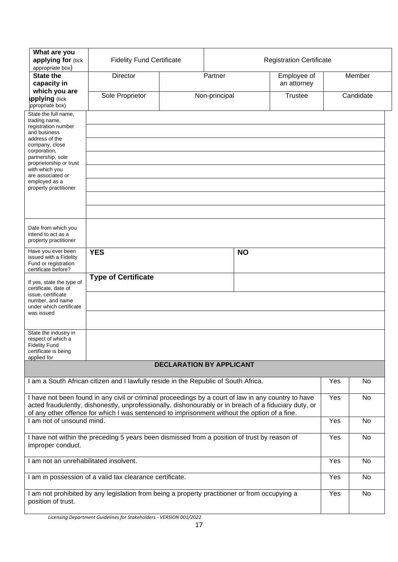| What are you<br>applying for (tick<br>appropriate box)                                                                                                                                                                                                            | <b>Fidelity Fund Certificate</b>                                                                                                                                                                                                                                                                             |                                 | <b>Registration Certificate</b> |                            |                |     |           |
|-------------------------------------------------------------------------------------------------------------------------------------------------------------------------------------------------------------------------------------------------------------------|--------------------------------------------------------------------------------------------------------------------------------------------------------------------------------------------------------------------------------------------------------------------------------------------------------------|---------------------------------|---------------------------------|----------------------------|----------------|-----|-----------|
| <b>State the</b><br>capacity in                                                                                                                                                                                                                                   | <b>Director</b>                                                                                                                                                                                                                                                                                              | Partner                         |                                 | Employee of<br>an attorney |                |     | Member    |
| which you are<br>pplying (tick<br>ppropriate box)                                                                                                                                                                                                                 | Sole Proprietor                                                                                                                                                                                                                                                                                              |                                 | Non-principal                   |                            | <b>Trustee</b> |     | Candidate |
| State the full name,<br>trading name,<br>registration number<br>and business<br>address of the<br>company, close<br>corporation,<br>partnership, sole<br>proprietorship or trust<br>with which you<br>are associated or<br>employed as a<br>property practitioner |                                                                                                                                                                                                                                                                                                              |                                 |                                 |                            |                |     |           |
| Date from which you<br>intend to act as a<br>property practitioner                                                                                                                                                                                                |                                                                                                                                                                                                                                                                                                              |                                 |                                 |                            |                |     |           |
| Have you ever been<br>issued with a Fidelity<br>Fund or registration<br>certificate before?                                                                                                                                                                       | <b>YES</b>                                                                                                                                                                                                                                                                                                   |                                 |                                 | <b>NO</b>                  |                |     |           |
| If yes, state the type of<br>certificate, date of<br>issue, certificate<br>number, and name<br>under which certificate<br>was issued                                                                                                                              | <b>Type of Certificate</b>                                                                                                                                                                                                                                                                                   |                                 |                                 |                            |                |     |           |
| State the industry in<br>respect of which a<br><b>Fidelity Fund</b><br>certificate is being<br>applied for                                                                                                                                                        |                                                                                                                                                                                                                                                                                                              |                                 |                                 |                            |                |     |           |
|                                                                                                                                                                                                                                                                   |                                                                                                                                                                                                                                                                                                              | <b>DECLARATION BY APPLICANT</b> |                                 |                            |                |     |           |
|                                                                                                                                                                                                                                                                   | I am a South African citizen and I lawfully reside in the Republic of South Africa.                                                                                                                                                                                                                          |                                 |                                 |                            |                | Yes | No        |
|                                                                                                                                                                                                                                                                   | I have not been found in any civil or criminal proceedings by a court of law in any country to have<br>acted fraudulently, dishonestly, unprofessionally, dishonourably or in breach of a fiduciary duty, or<br>of any other offence for which I was sentenced to imprisonment without the option of a fine. |                                 |                                 |                            |                | Yes | <b>No</b> |
| I am not of unsound mind.                                                                                                                                                                                                                                         |                                                                                                                                                                                                                                                                                                              |                                 |                                 |                            |                | Yes | No        |
| improper conduct.                                                                                                                                                                                                                                                 | I have not within the preceding 5 years been dismissed from a position of trust by reason of                                                                                                                                                                                                                 |                                 |                                 |                            |                | Yes | No        |
| I am not an unrehabilitated insolvent.                                                                                                                                                                                                                            |                                                                                                                                                                                                                                                                                                              |                                 |                                 |                            |                | Yes | No        |
|                                                                                                                                                                                                                                                                   | I am in possession of a valid tax clearance certificate.                                                                                                                                                                                                                                                     |                                 |                                 |                            |                | Yes | No        |
| position of trust.                                                                                                                                                                                                                                                | I am not prohibited by any legislation from being a property practitioner or from occupying a                                                                                                                                                                                                                |                                 |                                 |                            |                | Yes | No        |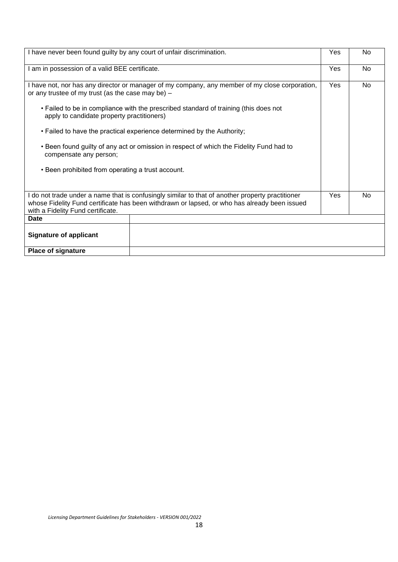| I have never been found guilty by any court of unfair discrimination.                                                                                                                                                                                                                       |                                                                                                                                                                                                  | Yes       | <b>No</b> |  |  |  |  |
|---------------------------------------------------------------------------------------------------------------------------------------------------------------------------------------------------------------------------------------------------------------------------------------------|--------------------------------------------------------------------------------------------------------------------------------------------------------------------------------------------------|-----------|-----------|--|--|--|--|
| I am in possession of a valid BEE certificate.                                                                                                                                                                                                                                              | Yes                                                                                                                                                                                              | <b>No</b> |           |  |  |  |  |
| I have not, nor has any director or manager of my company, any member of my close corporation,<br>or any trustee of my trust (as the case may be) $-$<br>• Failed to be in compliance with the prescribed standard of training (this does not<br>apply to candidate property practitioners) | Yes                                                                                                                                                                                              | <b>No</b> |           |  |  |  |  |
| • Failed to have the practical experience determined by the Authority;<br>• Been found guilty of any act or omission in respect of which the Fidelity Fund had to                                                                                                                           |                                                                                                                                                                                                  |           |           |  |  |  |  |
| compensate any person;                                                                                                                                                                                                                                                                      |                                                                                                                                                                                                  |           |           |  |  |  |  |
| • Been prohibited from operating a trust account.                                                                                                                                                                                                                                           |                                                                                                                                                                                                  |           |           |  |  |  |  |
| with a Fidelity Fund certificate.                                                                                                                                                                                                                                                           | I do not trade under a name that is confusingly similar to that of another property practitioner<br>whose Fidelity Fund certificate has been withdrawn or lapsed, or who has already been issued | Yes       | <b>No</b> |  |  |  |  |
| Date                                                                                                                                                                                                                                                                                        |                                                                                                                                                                                                  |           |           |  |  |  |  |
| <b>Signature of applicant</b>                                                                                                                                                                                                                                                               |                                                                                                                                                                                                  |           |           |  |  |  |  |
| <b>Place of signature</b>                                                                                                                                                                                                                                                                   |                                                                                                                                                                                                  |           |           |  |  |  |  |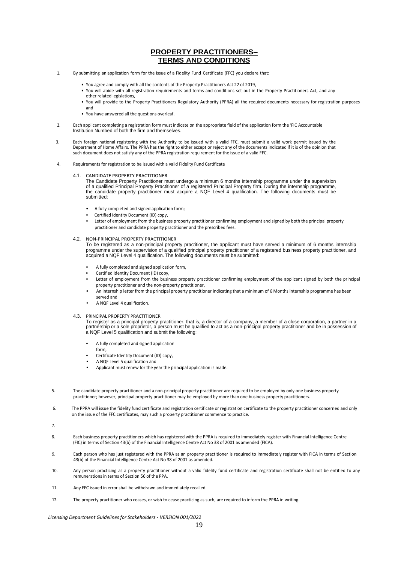#### **PROPERTY PRACTITIONERS– TERMS AND CONDITIONS**

- 1. By submitting an application form for the issue of a Fidelity Fund Certificate (FFC) you declare that:
	- You agree and comply with all the contents of the Property Practitioners Act 22 of 2019,
	- You will abide with all registration requirements and terms and conditions set out in the Property Practitioners Act, and any other related legislations,
	- You will provide to the Property Practitioners Regulatory Authority (PPRA) all the required documents necessary for registration purposes and
	- You have answered all the questions overleaf.
- 2. Each applicant completing a registration form must indicate on the appropriate field of the application form the 'FIC Accountable Institution Numbed of both the firm and themselves.
- 3. Each foreign national registering with the Authority to be issued with a valid FFC, must submit a valid work permit issued by the Department of Home Affairs. The PPRA has the right to either accept or reject any of the documents indicated if it is of the opinion that such document does not satisfy any of the PPRA registration requirement for the issue of a valid FFC.
- 4. Requirements for registration to be issued with a valid Fidelity Fund Certificate
	- 4.1. CANDIDATE PROPERTY PRACTITIONER

The Candidate Property Practitioner must undergo a minimum 6 months internship programme under the supervision<br>of a qualified Principal Property Practitioner of a registered Principal Property firm. During the internship p submitted:

- A fully completed and signed application form;
- Certified Identity Document (ID) copy,
- Letter of employment from the business property practitioner confirming employment and signed by both the principal property practitioner and candidate property practitioner and the prescribed fees.
- 4.2. NON-PRINCIPAL PROPERTY PRACTITIONER

To be registered as a non-principal property practitioner, the applicant must have served a minimum of 6 months internship programme under the supervision of a qualified principal property practitioner of a registered business property practitioner, and acquired a NQF Level 4 qualification. The following documents must be submitted:

- A fully completed and signed application form,
- Certified Identity Document (ID) copy,
- Letter of employment from the business property practitioner confirming employment of the applicant signed by both the principal property practitioner and the non-property practitioner,
- An internship letter from the principal property practitioner indicating that a minimum of 6 Months internship programme has been served and
- A NQF Level 4 qualification.

#### 4.3. PRINCIPAL PROPERTY PRACTITIONER

To register as a principal property practitioner, that is, a director of a company, a member of a close corporation, a partner in a partnership or a sole proprietor, a person must be qualified to act as a non-principal property practitioner and be in possession of a NQF Level 5 qualification and submit the following:

- A fully completed and signed application
- form, • Certificate Identity Document (ID) copy,
- A NQF Level 5 qualification and
- Applicant must renew for the year the principal application is made.
- 5. The candidate property practitioner and a non-principal property practitioner are required to be employed by only one business property practitioner; however, principal property practitioner may be employed by more than one business property practitioners.
- 6. The PPRA will issue the fidelity fund certificate and registration certificate or registration certificate to the property practitioner concerned and only on the issue of the FFC certificates, may such a property practitioner commence to practice.
- 7.
- 8. Each business property practitioners which has registered with the PPRA is required to immediately register with Financial Intelligence Centre (FIC) in terms of Section 43(b) of the Financial Intelligence Centre Act No 38 of 2001 as amended (FICA).
- 9. Each person who has just registered with the PPRA as an property practitioner is required to immediately register with FICA in terms of Section 43(b) of the Financial Intelligence Centre Act No 38 of 2001 as amended.
- 10. Any person practicing as a property practitioner without a valid fidelity fund certificate and registration certificate shall not be entitled to any remunerations in terms of Section 56 of the PPA.
- 11. Any FFC issued in error shall be withdrawn and immediately recalled.
- 12. The property practitioner who ceases, or wish to cease practicing as such, are required to inform the PPRA in writing.

*Licensing Department Guidelines for Stakeholders - VERSION 001/2022*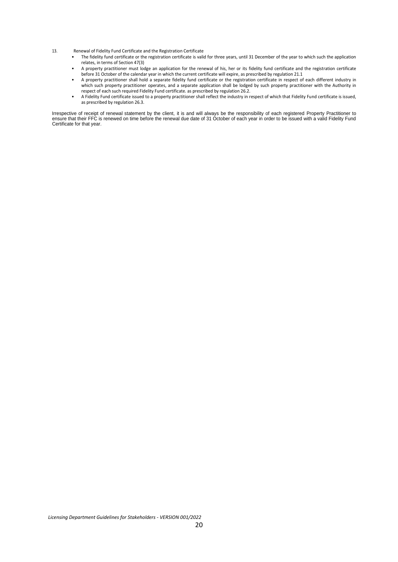- 13. Renewal of Fidelity Fund Certificate and the Registration Certificate
	- The fidelity fund certificate or the registration certificate is valid for three years, until 31 December of the year to which such the application relates, in terms of Section 47(3)
	- A property practitioner must lodge an application for the renewal of his, her or its fidelity fund certificate and the registration certificate before 31 October of the calendar year in which the current certificate will expire, as prescribed by regulation 21.1
	- A property practitioner shall hold a separate fidelity fund certificate or the registration certificate in respect of each different industry in which such property practitioner operates, and a separate application shall be lodged by such property practitioner with the Authority in respect of each such required Fidelity Fund certificate. as prescribed by regulation 26.2.
	- A Fidelity Fund certificate issued to a property practitioner shall reflect the industry in respect of which that Fidelity Fund certificate is issued, as prescribed by regulation 26.3.

Irrespective of receipt of renewal statement by the client, it is and will always be the responsibility of each registered Property Practitioner to<br>ensure that their FFC is renewed on time before the renewal due date of 31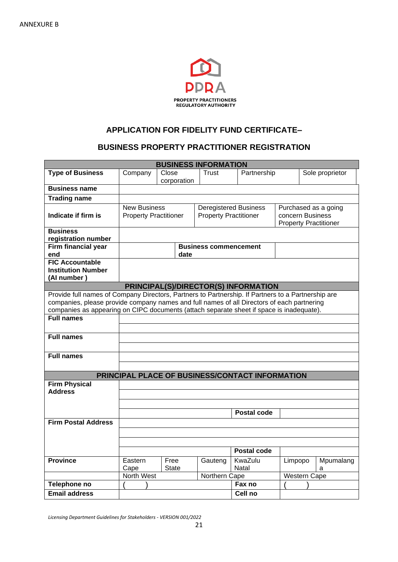

## **APPLICATION FOR FIDELITY FUND CERTIFICATE–**

### **BUSINESS PROPERTY PRACTITIONER REGISTRATION**

| <b>BUSINESS INFORMATION</b>                                                                                                                                                                                                                                                                                                            |                                                     |                      |                                                                                                                                          |                                                 |         |                     |                 |
|----------------------------------------------------------------------------------------------------------------------------------------------------------------------------------------------------------------------------------------------------------------------------------------------------------------------------------------|-----------------------------------------------------|----------------------|------------------------------------------------------------------------------------------------------------------------------------------|-------------------------------------------------|---------|---------------------|-----------------|
| <b>Type of Business</b>                                                                                                                                                                                                                                                                                                                | Company                                             | Close<br>corporation | Trust                                                                                                                                    | Partnership                                     |         |                     | Sole proprietor |
| <b>Business name</b>                                                                                                                                                                                                                                                                                                                   |                                                     |                      |                                                                                                                                          |                                                 |         |                     |                 |
| <b>Trading name</b>                                                                                                                                                                                                                                                                                                                    |                                                     |                      |                                                                                                                                          |                                                 |         |                     |                 |
| Indicate if firm is                                                                                                                                                                                                                                                                                                                    | <b>New Business</b><br><b>Property Practitioner</b> |                      | <b>Deregistered Business</b><br>Purchased as a going<br><b>Property Practitioner</b><br>concern Business<br><b>Property Practitioner</b> |                                                 |         |                     |                 |
| <b>Business</b><br>registration number                                                                                                                                                                                                                                                                                                 |                                                     |                      |                                                                                                                                          |                                                 |         |                     |                 |
| <b>Firm financial year</b><br>end                                                                                                                                                                                                                                                                                                      |                                                     | date                 | <b>Business commencement</b>                                                                                                             |                                                 |         |                     |                 |
| <b>FIC Accountable</b><br><b>Institution Number</b><br>(Al number)                                                                                                                                                                                                                                                                     |                                                     |                      |                                                                                                                                          |                                                 |         |                     |                 |
|                                                                                                                                                                                                                                                                                                                                        |                                                     |                      |                                                                                                                                          | PRINCIPAL(S)/DIRECTOR(S) INFORMATION            |         |                     |                 |
| Provide full names of Company Directors, Partners to Partnership. If Partners to a Partnership are<br>companies, please provide company names and full names of all Directors of each partnering<br>companies as appearing on CIPC documents (attach separate sheet if space is inadequate).<br><b>Full names</b><br><b>Full names</b> |                                                     |                      |                                                                                                                                          |                                                 |         |                     |                 |
| <b>Full names</b>                                                                                                                                                                                                                                                                                                                      |                                                     |                      |                                                                                                                                          |                                                 |         |                     |                 |
|                                                                                                                                                                                                                                                                                                                                        |                                                     |                      |                                                                                                                                          | PRINCIPAL PLACE OF BUSINESS/CONTACT INFORMATION |         |                     |                 |
| <b>Firm Physical</b><br><b>Address</b>                                                                                                                                                                                                                                                                                                 |                                                     |                      |                                                                                                                                          | <b>Postal code</b>                              |         |                     |                 |
| <b>Firm Postal Address</b>                                                                                                                                                                                                                                                                                                             |                                                     |                      |                                                                                                                                          |                                                 |         |                     |                 |
|                                                                                                                                                                                                                                                                                                                                        |                                                     |                      |                                                                                                                                          | <b>Postal code</b>                              |         |                     |                 |
| <b>Province</b>                                                                                                                                                                                                                                                                                                                        | Eastern<br>Cape                                     | Free<br><b>State</b> | Gauteng                                                                                                                                  | KwaZulu<br>Natal                                | Limpopo |                     | Mpumalang<br>a  |
|                                                                                                                                                                                                                                                                                                                                        | North West                                          |                      | Northern Cape                                                                                                                            |                                                 |         | <b>Western Cape</b> |                 |
| Telephone no                                                                                                                                                                                                                                                                                                                           |                                                     |                      |                                                                                                                                          | Fax no                                          |         |                     |                 |
| <b>Email address</b>                                                                                                                                                                                                                                                                                                                   |                                                     |                      |                                                                                                                                          | Cell no                                         |         |                     |                 |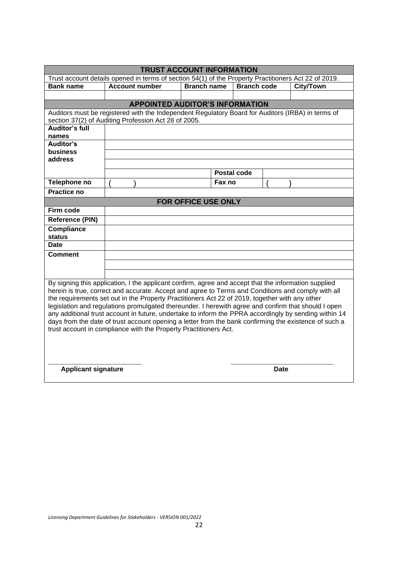| <b>TRUST ACCOUNT INFORMATION</b>                                                                                                                                                                                                                                                                                                                                                                                                                                                                                                                                                                                                                                                                          |                       |                     |        |                    |      |                  |  |  |  |  |
|-----------------------------------------------------------------------------------------------------------------------------------------------------------------------------------------------------------------------------------------------------------------------------------------------------------------------------------------------------------------------------------------------------------------------------------------------------------------------------------------------------------------------------------------------------------------------------------------------------------------------------------------------------------------------------------------------------------|-----------------------|---------------------|--------|--------------------|------|------------------|--|--|--|--|
| Trust account details opened in terms of section 54(1) of the Property Practitioners Act 22 of 2019.                                                                                                                                                                                                                                                                                                                                                                                                                                                                                                                                                                                                      |                       |                     |        |                    |      |                  |  |  |  |  |
| <b>Bank name</b>                                                                                                                                                                                                                                                                                                                                                                                                                                                                                                                                                                                                                                                                                          | <b>Account number</b> | <b>Branch name</b>  |        | <b>Branch code</b> |      | <b>City/Town</b> |  |  |  |  |
|                                                                                                                                                                                                                                                                                                                                                                                                                                                                                                                                                                                                                                                                                                           |                       |                     |        |                    |      |                  |  |  |  |  |
| <b>APPOINTED AUDITOR'S INFORMATION</b>                                                                                                                                                                                                                                                                                                                                                                                                                                                                                                                                                                                                                                                                    |                       |                     |        |                    |      |                  |  |  |  |  |
| Auditors must be registered with the Independent Regulatory Board for Auditors (IRBA) in terms of                                                                                                                                                                                                                                                                                                                                                                                                                                                                                                                                                                                                         |                       |                     |        |                    |      |                  |  |  |  |  |
| section 37(2) of Auditing Profession Act 26 of 2005.                                                                                                                                                                                                                                                                                                                                                                                                                                                                                                                                                                                                                                                      |                       |                     |        |                    |      |                  |  |  |  |  |
| <b>Auditor's full</b>                                                                                                                                                                                                                                                                                                                                                                                                                                                                                                                                                                                                                                                                                     |                       |                     |        |                    |      |                  |  |  |  |  |
| names                                                                                                                                                                                                                                                                                                                                                                                                                                                                                                                                                                                                                                                                                                     |                       |                     |        |                    |      |                  |  |  |  |  |
| Auditor's                                                                                                                                                                                                                                                                                                                                                                                                                                                                                                                                                                                                                                                                                                 |                       |                     |        |                    |      |                  |  |  |  |  |
| <b>business</b>                                                                                                                                                                                                                                                                                                                                                                                                                                                                                                                                                                                                                                                                                           |                       |                     |        |                    |      |                  |  |  |  |  |
| address                                                                                                                                                                                                                                                                                                                                                                                                                                                                                                                                                                                                                                                                                                   |                       |                     |        |                    |      |                  |  |  |  |  |
|                                                                                                                                                                                                                                                                                                                                                                                                                                                                                                                                                                                                                                                                                                           |                       |                     |        | <b>Postal code</b> |      |                  |  |  |  |  |
| Telephone no                                                                                                                                                                                                                                                                                                                                                                                                                                                                                                                                                                                                                                                                                              |                       |                     | Fax no |                    |      |                  |  |  |  |  |
| <b>Practice no</b>                                                                                                                                                                                                                                                                                                                                                                                                                                                                                                                                                                                                                                                                                        |                       |                     |        |                    |      |                  |  |  |  |  |
|                                                                                                                                                                                                                                                                                                                                                                                                                                                                                                                                                                                                                                                                                                           |                       | FOR OFFICE USE ONLY |        |                    |      |                  |  |  |  |  |
| Firm code                                                                                                                                                                                                                                                                                                                                                                                                                                                                                                                                                                                                                                                                                                 |                       |                     |        |                    |      |                  |  |  |  |  |
| <b>Reference (PIN)</b>                                                                                                                                                                                                                                                                                                                                                                                                                                                                                                                                                                                                                                                                                    |                       |                     |        |                    |      |                  |  |  |  |  |
| <b>Compliance</b>                                                                                                                                                                                                                                                                                                                                                                                                                                                                                                                                                                                                                                                                                         |                       |                     |        |                    |      |                  |  |  |  |  |
| <b>status</b>                                                                                                                                                                                                                                                                                                                                                                                                                                                                                                                                                                                                                                                                                             |                       |                     |        |                    |      |                  |  |  |  |  |
| <b>Date</b>                                                                                                                                                                                                                                                                                                                                                                                                                                                                                                                                                                                                                                                                                               |                       |                     |        |                    |      |                  |  |  |  |  |
| <b>Comment</b>                                                                                                                                                                                                                                                                                                                                                                                                                                                                                                                                                                                                                                                                                            |                       |                     |        |                    |      |                  |  |  |  |  |
|                                                                                                                                                                                                                                                                                                                                                                                                                                                                                                                                                                                                                                                                                                           |                       |                     |        |                    |      |                  |  |  |  |  |
|                                                                                                                                                                                                                                                                                                                                                                                                                                                                                                                                                                                                                                                                                                           |                       |                     |        |                    |      |                  |  |  |  |  |
| By signing this application, I the applicant confirm, agree and accept that the information supplied<br>herein is true, correct and accurate. Accept and agree to Terms and Conditions and comply with all<br>the requirements set out in the Property Practitioners Act 22 of 2019, together with any other<br>legislation and regulations promulgated thereunder. I herewith agree and confirm that should I open<br>any additional trust account in future, undertake to inform the PPRA accordingly by sending within 14<br>days from the date of trust account opening a letter from the bank confirming the existence of such a<br>trust account in compliance with the Property Practitioners Act. |                       |                     |        |                    |      |                  |  |  |  |  |
| <b>Applicant signature</b>                                                                                                                                                                                                                                                                                                                                                                                                                                                                                                                                                                                                                                                                                |                       |                     |        |                    | Date |                  |  |  |  |  |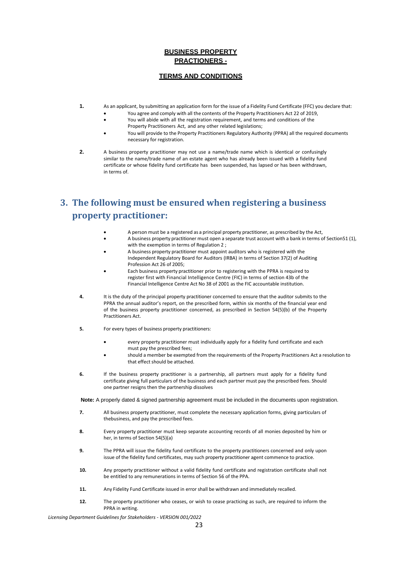#### **BUSINESS PROPERTY PRACTIONERS -**

#### **TERMS AND CONDITIONS**

- **1.** As an applicant, by submitting an application form for the issue of a Fidelity Fund Certificate (FFC) you declare that: • You agree and comply with all the contents of the Property Practitioners Act 22 of 2019,
	- You will abide with all the registration requirement, and terms and conditions of the
	- Property Practitioners Act, and any other related legislations;
	- You will provide to the Property Practitioners Regulatory Authority (PPRA) all the required documents necessary for registration.
- **2.** A business property practitioner may not use a name/trade name which is identical or confusingly similar to the name/trade name of an estate agent who has already been issued with a fidelity fund certificate or whose fidelity fund certificate has been suspended, has lapsed or has been withdrawn, in terms of.

# **3. The following must be ensured when registering a business property practitioner:**

- A person must be a registered as a principal property practitioner, as prescribed by the Act,
- A business property practitioner must open a separate trust account with a bank in terms of Section51 (1), with the exemption in terms of Regulation 2;
- A business property practitioner must appoint auditors who is registered with the Independent Regulatory Board for Auditors (IRBA) in terms of Section 37(2) of Auditing Profession Act 26 of 2005;
- Each business property practitioner prior to registering with the PPRA is required to register first with Financial Intelligence Centre (FIC) in terms of section 43b of the Financial Intelligence Centre Act No 38 of 2001 as the FIC accountable institution.
- **4.** It is the duty of the principal property practitioner concerned to ensure that the auditor submits to the PPRA the annual auditor's report, on the prescribed form, within six months of the financial year end of the business property practitioner concerned, as prescribed in Section 54(5)(b) of the Property Practitioners Act.
- **5.** For every types of business property practitioners:
	- every property practitioner must individually apply for a fidelity fund certificate and each must pay the prescribed fees;
	- should a member be exempted from the requirements of the Property Practitioners Act a resolution to that effect should be attached.
- **6.** If the business property practitioner is a partnership, all partners must apply for a fidelity fund certificate giving full particulars of the business and each partner must pay the prescribed fees. Should one partner resigns then the partnership dissolves

**Note:** A properly dated & signed partnership agreement must be included in the documents upon registration.

- **7.** All business property practitioner, must complete the necessary application forms, giving particulars of thebusiness, and pay the prescribed fees.
- **8.** Every property practitioner must keep separate accounting records of all monies deposited by him or her, in terms of Section 54(5)(a)
- **9.** The PPRA will issue the fidelity fund certificate to the property practitioners concerned and only upon issue of the fidelity fund certificates, may such property practitioner agent commence to practice.
- **10.** Any property practitioner without a valid fidelity fund certificate and registration certificate shall not be entitled to any remunerations in terms of Section 56 of the PPA.
- **11.** Any Fidelity Fund Certificate issued in error shall be withdrawn and immediately recalled.
- **12.** The property practitioner who ceases, or wish to cease practicing as such, are required to inform the PPRA in writing.

*Licensing Department Guidelines for Stakeholders - VERSION 001/2022*